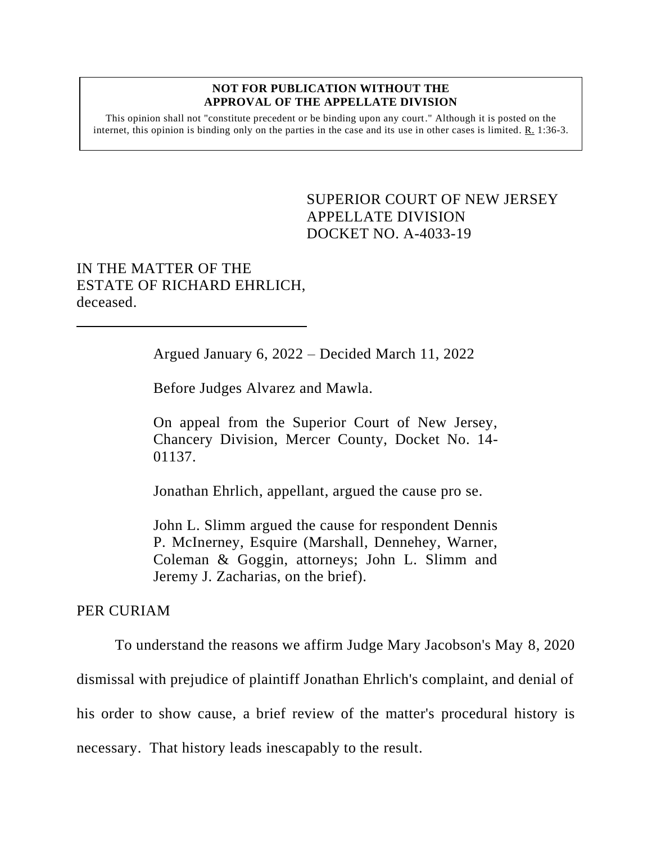#### **NOT FOR PUBLICATION WITHOUT THE APPROVAL OF THE APPELLATE DIVISION**

This opinion shall not "constitute precedent or be binding upon any court." Although it is posted on the internet, this opinion is binding only on the parties in the case and its use in other cases is limited.  $R_1$  1:36-3.

> <span id="page-0-0"></span>SUPERIOR COURT OF NEW JERSEY APPELLATE DIVISION DOCKET NO. A-4033-19

# IN THE MATTER OF THE ESTATE OF RICHARD EHRLICH, deceased.

Argued January 6, 2022 – Decided March 11, 2022

Before Judges Alvarez and Mawla.

On appeal from the Superior Court of New Jersey, Chancery Division, Mercer County, Docket No. 14- 01137.

Jonathan Ehrlich, appellant, argued the cause pro se.

John L. Slimm argued the cause for respondent Dennis P. McInerney, Esquire (Marshall, Dennehey, Warner, Coleman & Goggin, attorneys; John L. Slimm and Jeremy J. Zacharias, on the brief).

### PER CURIAM

To understand the reasons we affirm Judge Mary Jacobson's May 8, 2020 dismissal with prejudice of plaintiff Jonathan Ehrlich's complaint, and denial of his order to show cause, a brief review of the matter's procedural history is necessary. That history leads inescapably to the result.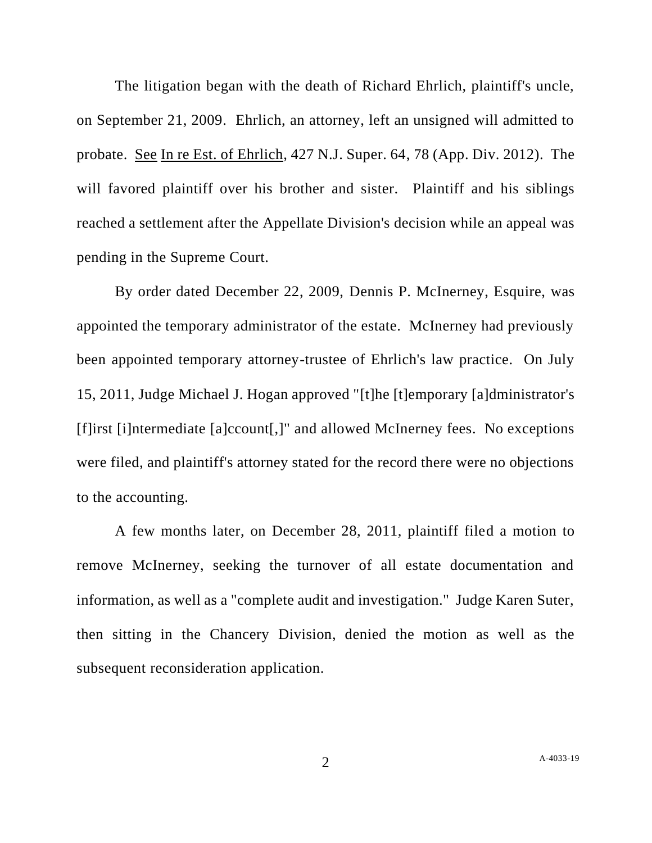The litigation began with the death of Richard Ehrlich, plaintiff's uncle, on September 21, 2009. Ehrlich, an attorney, left an unsigned will admitted to probate. See In re Est. of Ehrlich, 427 N.J. Super. 64, 78 (App. Div. 2012). The will favored plaintiff over his brother and sister. Plaintiff and his siblings reached a settlement after the Appellate Division's decision while an appeal was pending in the Supreme Court.

By order dated December 22, 2009, Dennis P. McInerney, Esquire, was appointed the temporary administrator of the estate. McInerney had previously been appointed temporary attorney-trustee of Ehrlich's law practice. On July 15, 2011, Judge Michael J. Hogan approved "[t]he [t]emporary [a]dministrator's [f]irst [i]ntermediate [a]ccount[,]" and allowed McInerney fees. No exceptions were filed, and plaintiff's attorney stated for the record there were no objections to the accounting.

A few months later, on December 28, 2011, plaintiff filed a motion to remove McInerney, seeking the turnover of all estate documentation and information, as well as a "complete audit and investigation." Judge Karen Suter, then sitting in the Chancery Division, denied the motion as well as the subsequent reconsideration application.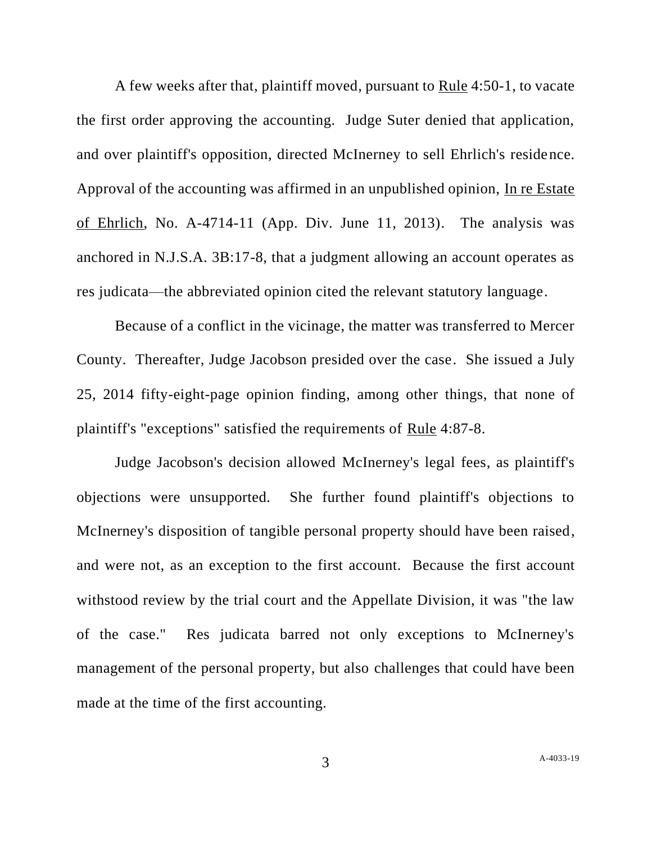A few weeks after that, plaintiff moved, pursuant to Rule 4:50-1, to vacate the first order approving the accounting. Judge Suter denied that application, and over plaintiff's opposition, directed McInerney to sell Ehrlich's residence. Approval of the accounting was affirmed in an unpublished opinion, In re Estate of Ehrlich, No. A-4714-11 (App. Div. June 11, 2013). The analysis was anchored in N.J.S.A. 3B:17-8, that a judgment allowing an account operates as res judicata—the abbreviated opinion cited the relevant statutory language.

Because of a conflict in the vicinage, the matter was transferred to Mercer County. Thereafter, Judge Jacobson presided over the case. She issued a July 25, 2014 fifty-eight-page opinion finding, among other things, that none of plaintiff's "exceptions" satisfied the requirements of Rule 4:87-8.

Judge Jacobson's decision allowed McInerney's legal fees, as plaintiff's objections were unsupported. She further found plaintiff's objections to McInerney's disposition of tangible personal property should have been raised, and were not, as an exception to the first account. Because the first account withstood review by the trial court and the Appellate Division, it was "the law of the case." Res judicata barred not only exceptions to McInerney's management of the personal property, but also challenges that could have been made at the time of the first accounting.

3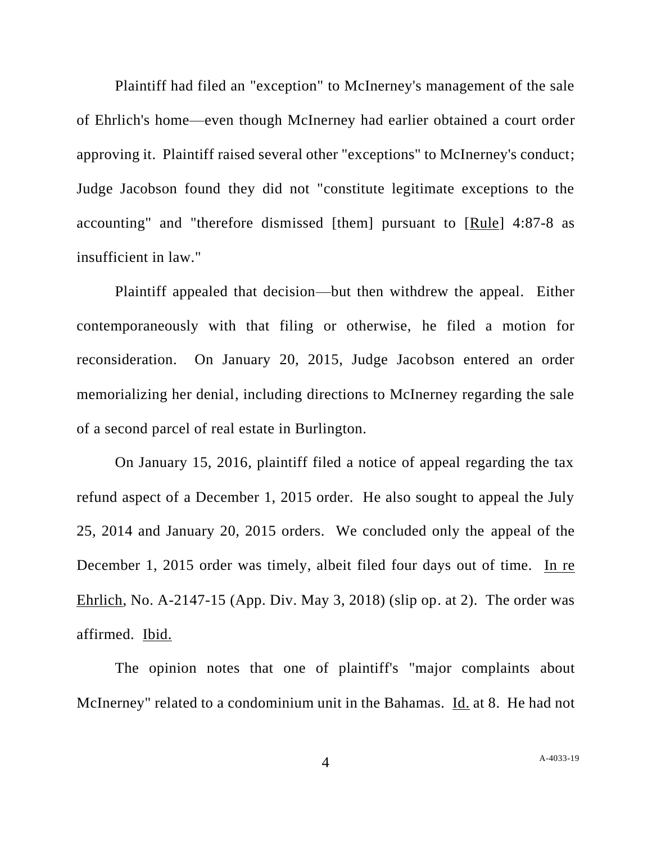Plaintiff had filed an "exception" to McInerney's management of the sale of Ehrlich's home—even though McInerney had earlier obtained a court order approving it. Plaintiff raised several other "exceptions" to McInerney's conduct; Judge Jacobson found they did not "constitute legitimate exceptions to the accounting" and "therefore dismissed [them] pursuant to [Rule] 4:87-8 as insufficient in law."

Plaintiff appealed that decision—but then withdrew the appeal. Either contemporaneously with that filing or otherwise, he filed a motion for reconsideration. On January 20, 2015, Judge Jacobson entered an order memorializing her denial, including directions to McInerney regarding the sale of a second parcel of real estate in Burlington.

On January 15, 2016, plaintiff filed a notice of appeal regarding the tax refund aspect of a December 1, 2015 order. He also sought to appeal the July 25, 2014 and January 20, 2015 orders. We concluded only the appeal of the December 1, 2015 order was timely, albeit filed four days out of time. In re Ehrlich, No. A-2147-15 (App. Div. May 3, 2018) (slip op. at 2). The order was affirmed. Ibid.

The opinion notes that one of plaintiff's "major complaints about McInerney" related to a condominium unit in the Bahamas. Id. at 8. He had not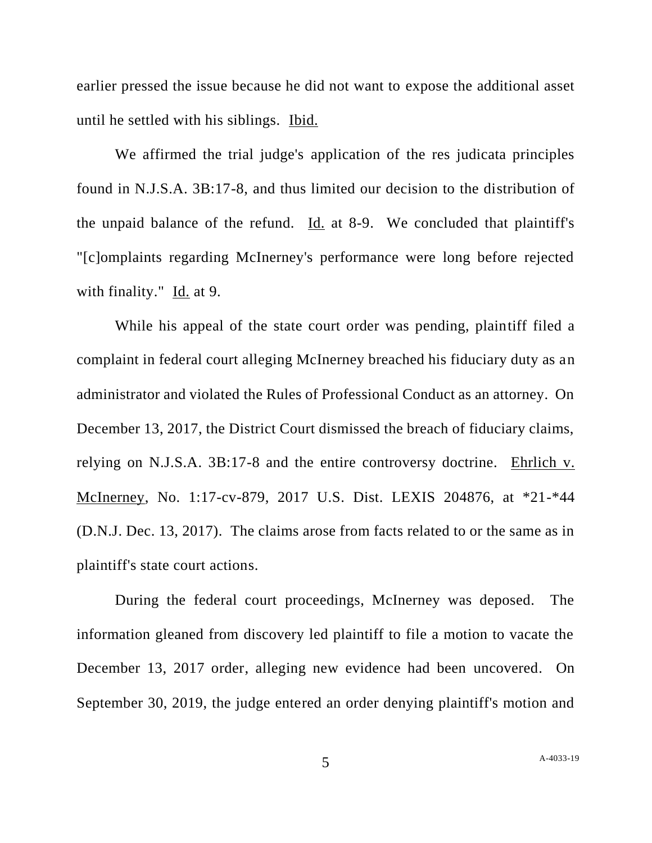earlier pressed the issue because he did not want to expose the additional asset until he settled with his siblings. Ibid.

We affirmed the trial judge's application of the res judicata principles found in N.J.S.A. 3B:17-8, and thus limited our decision to the distribution of the unpaid balance of the refund. Id. at 8-9. We concluded that plaintiff's "[c]omplaints regarding McInerney's performance were long before rejected with finality." Id. at 9.

While his appeal of the state court order was pending, plaintiff filed a complaint in federal court alleging McInerney breached his fiduciary duty as an administrator and violated the Rules of Professional Conduct as an attorney. On December 13, 2017, the District Court dismissed the breach of fiduciary claims, relying on N.J.S.A. 3B:17-8 and the entire controversy doctrine. Ehrlich v. McInerney, No. 1:17-cv-879, 2017 U.S. Dist. LEXIS 204876, at \*21-\*44 (D.N.J. Dec. 13, 2017). The claims arose from facts related to or the same as in plaintiff's state court actions.

During the federal court proceedings, McInerney was deposed. The information gleaned from discovery led plaintiff to file a motion to vacate the December 13, 2017 order, alleging new evidence had been uncovered. On September 30, 2019, the judge entered an order denying plaintiff's motion and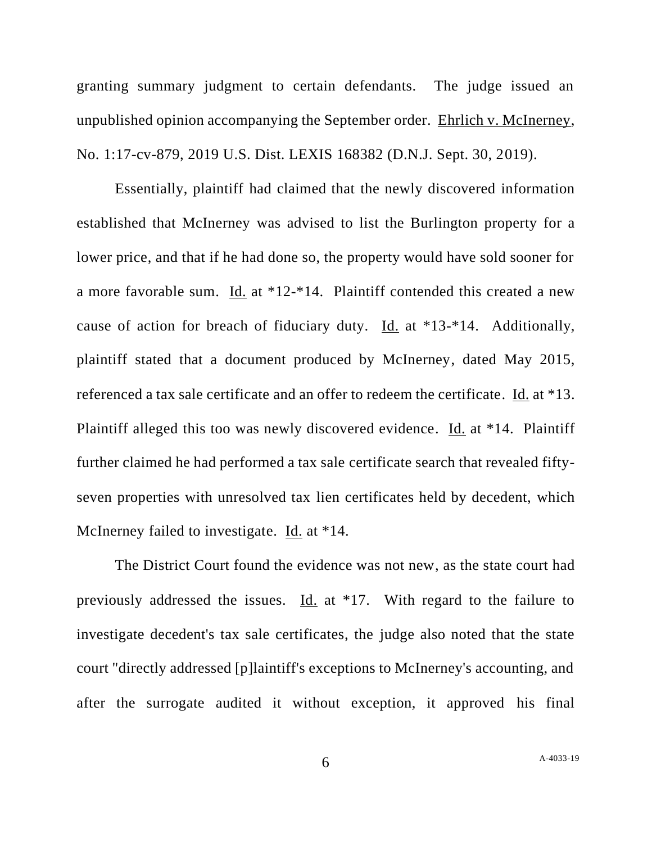granting summary judgment to certain defendants. The judge issued an unpublished opinion accompanying the September order. Ehrlich v. McInerney, No. 1:17-cv-879, 2019 U.S. Dist. LEXIS 168382 (D.N.J. Sept. 30, 2019).

Essentially, plaintiff had claimed that the newly discovered information established that McInerney was advised to list the Burlington property for a lower price, and that if he had done so, the property would have sold sooner for a more favorable sum. Id. at \*12-\*14. Plaintiff contended this created a new cause of action for breach of fiduciary duty. Id. at \*13-\*14. Additionally, plaintiff stated that a document produced by McInerney, dated May 2015, referenced a tax sale certificate and an offer to redeem the certificate. Id. at \*13. Plaintiff alleged this too was newly discovered evidence. Id. at \*14. Plaintiff further claimed he had performed a tax sale certificate search that revealed fiftyseven properties with unresolved tax lien certificates held by decedent, which McInerney failed to investigate. Id. at \*14.

The District Court found the evidence was not new, as the state court had previously addressed the issues. Id. at \*17. With regard to the failure to investigate decedent's tax sale certificates, the judge also noted that the state court "directly addressed [p]laintiff's exceptions to McInerney's accounting, and after the surrogate audited it without exception, it approved his final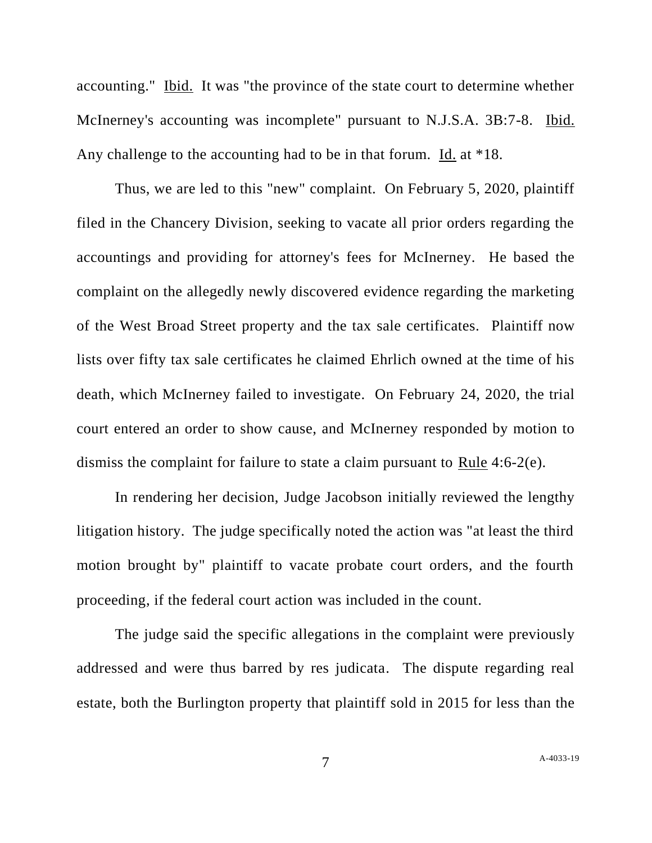accounting." Ibid. It was "the province of the state court to determine whether McInerney's accounting was incomplete" pursuant to N.J.S.A. 3B:7-8. Ibid. Any challenge to the accounting had to be in that forum. Id. at \*18.

Thus, we are led to this "new" complaint. On February 5, 2020, plaintiff filed in the Chancery Division, seeking to vacate all prior orders regarding the accountings and providing for attorney's fees for McInerney. He based the complaint on the allegedly newly discovered evidence regarding the marketing of the West Broad Street property and the tax sale certificates. Plaintiff now lists over fifty tax sale certificates he claimed Ehrlich owned at the time of his death, which McInerney failed to investigate. On February 24, 2020, the trial court entered an order to show cause, and McInerney responded by motion to dismiss the complaint for failure to state a claim pursuant to Rule 4:6-2(e).

In rendering her decision, Judge Jacobson initially reviewed the lengthy litigation history. The judge specifically noted the action was "at least the third motion brought by" plaintiff to vacate probate court orders, and the fourth proceeding, if the federal court action was included in the count.

The judge said the specific allegations in the complaint were previously addressed and were thus barred by res judicata. The dispute regarding real estate, both the Burlington property that plaintiff sold in 2015 for less than the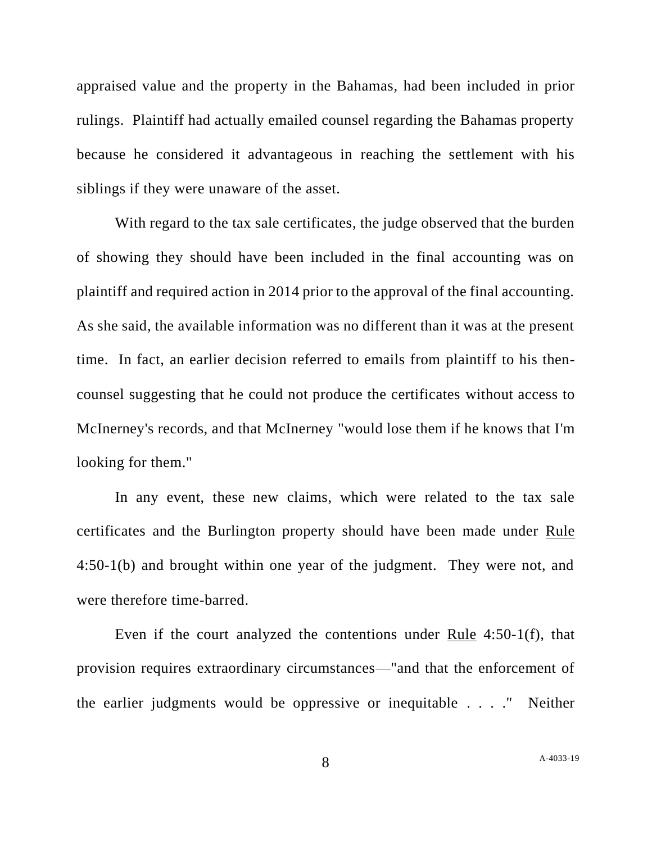appraised value and the property in the Bahamas, had been included in prior rulings. Plaintiff had actually emailed counsel regarding the Bahamas property because he considered it advantageous in reaching the settlement with his siblings if they were unaware of the asset.

With regard to the tax sale certificates, the judge observed that the burden of showing they should have been included in the final accounting was on plaintiff and required action in 2014 prior to the approval of the final accounting. As she said, the available information was no different than it was at the present time. In fact, an earlier decision referred to emails from plaintiff to his thencounsel suggesting that he could not produce the certificates without access to McInerney's records, and that McInerney "would lose them if he knows that I'm looking for them."

In any event, these new claims, which were related to the tax sale certificates and the Burlington property should have been made under Rule 4:50-1(b) and brought within one year of the judgment. They were not, and were therefore time-barred.

Even if the court analyzed the contentions under Rule 4:50-1(f), that provision requires extraordinary circumstances—"and that the enforcement of the earlier judgments would be oppressive or inequitable . . . ." Neither

8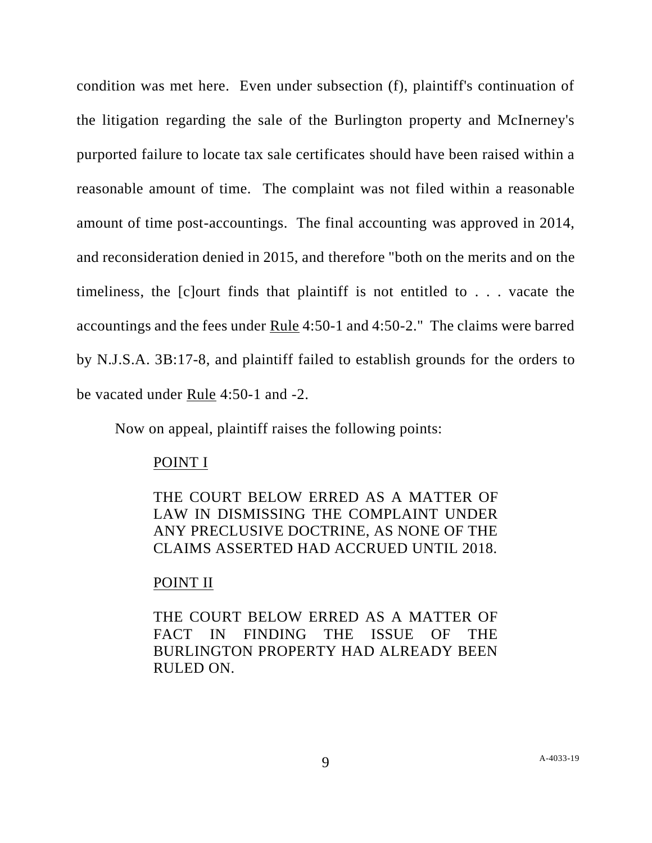condition was met here. Even under subsection (f), plaintiff's continuation of the litigation regarding the sale of the Burlington property and McInerney's purported failure to locate tax sale certificates should have been raised within a reasonable amount of time. The complaint was not filed within a reasonable amount of time post-accountings. The final accounting was approved in 2014, and reconsideration denied in 2015, and therefore "both on the merits and on the timeliness, the [c]ourt finds that plaintiff is not entitled to . . . vacate the accountings and the fees under Rule 4:50-1 and 4:50-2." The claims were barred by N.J.S.A. 3B:17-8, and plaintiff failed to establish grounds for the orders to be vacated under Rule 4:50-1 and -2.

Now on appeal, plaintiff raises the following points:

### POINT I

THE COURT BELOW ERRED AS A MATTER OF LAW IN DISMISSING THE COMPLAINT UNDER ANY PRECLUSIVE DOCTRINE, AS NONE OF THE CLAIMS ASSERTED HAD ACCRUED UNTIL 2018.

### POINT II

THE COURT BELOW ERRED AS A MATTER OF FACT IN FINDING THE ISSUE OF THE BURLINGTON PROPERTY HAD ALREADY BEEN RULED ON.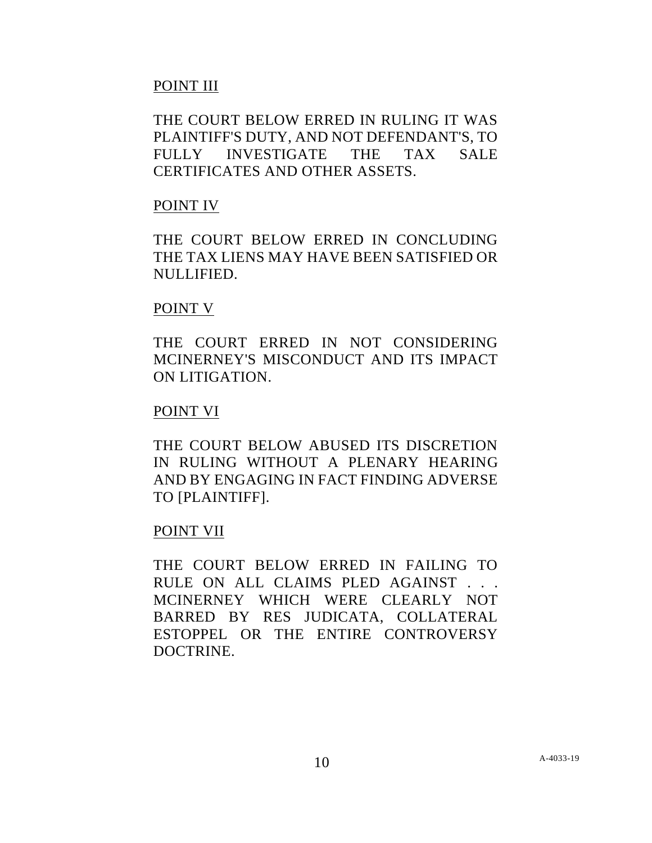# POINT III

THE COURT BELOW ERRED IN RULING IT WAS PLAINTIFF'S DUTY, AND NOT DEFENDANT'S, TO FULLY INVESTIGATE THE TAX SALE CERTIFICATES AND OTHER ASSETS.

# POINT IV

THE COURT BELOW ERRED IN CONCLUDING THE TAX LIENS MAY HAVE BEEN SATISFIED OR NULLIFIED.

### POINT V

THE COURT ERRED IN NOT CONSIDERING MCINERNEY'S MISCONDUCT AND ITS IMPACT ON LITIGATION.

## POINT VI

THE COURT BELOW ABUSED ITS DISCRETION IN RULING WITHOUT A PLENARY HEARING AND BY ENGAGING IN FACT FINDING ADVERSE TO [PLAINTIFF].

### POINT VII

THE COURT BELOW ERRED IN FAILING TO RULE ON ALL CLAIMS PLED AGAINST . . . MCINERNEY WHICH WERE CLEARLY NOT BARRED BY RES JUDICATA, COLLATERAL ESTOPPEL OR THE ENTIRE CONTROVERSY DOCTRINE.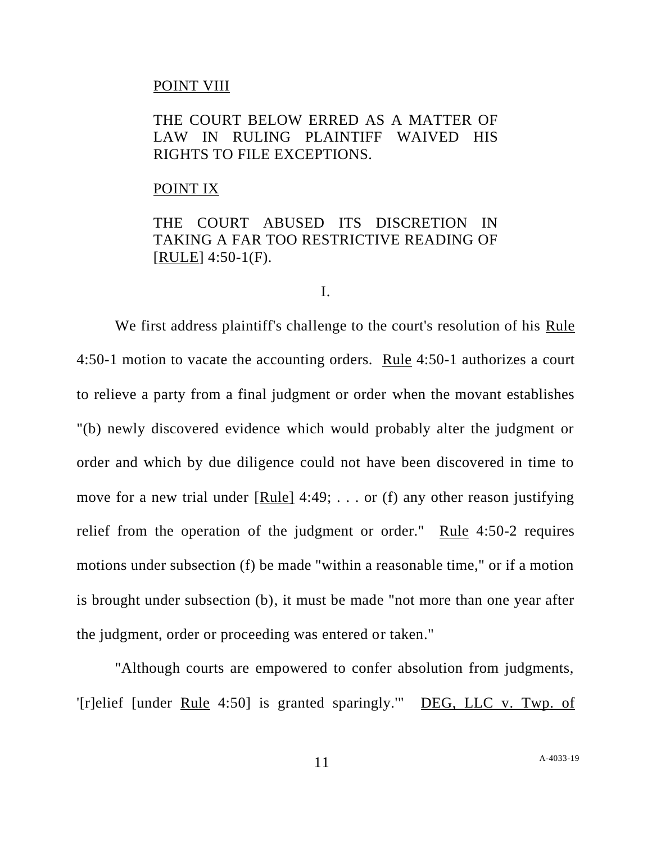### POINT VIII

## THE COURT BELOW ERRED AS A MATTER OF LAW IN RULING PLAINTIFF WAIVED HIS RIGHTS TO FILE EXCEPTIONS.

#### POINT IX

## THE COURT ABUSED ITS DISCRETION IN TAKING A FAR TOO RESTRICTIVE READING OF  $[RULE]$  4:50-1 $(F)$ .

### I.

We first address plaintiff's challenge to the court's resolution of his Rule 4:50-1 motion to vacate the accounting orders. Rule 4:50-1 authorizes a court to relieve a party from a final judgment or order when the movant establishes "(b) newly discovered evidence which would probably alter the judgment or order and which by due diligence could not have been discovered in time to move for a new trial under [Rule] 4:49; . . . or (f) any other reason justifying relief from the operation of the judgment or order." Rule  $4:50-2$  requires motions under subsection (f) be made "within a reasonable time," or if a motion is brought under subsection (b), it must be made "not more than one year after the judgment, order or proceeding was entered or taken."

"Although courts are empowered to confer absolution from judgments, '[r]elief [under Rule 4:50] is granted sparingly.'" DEG, LLC v. Twp. of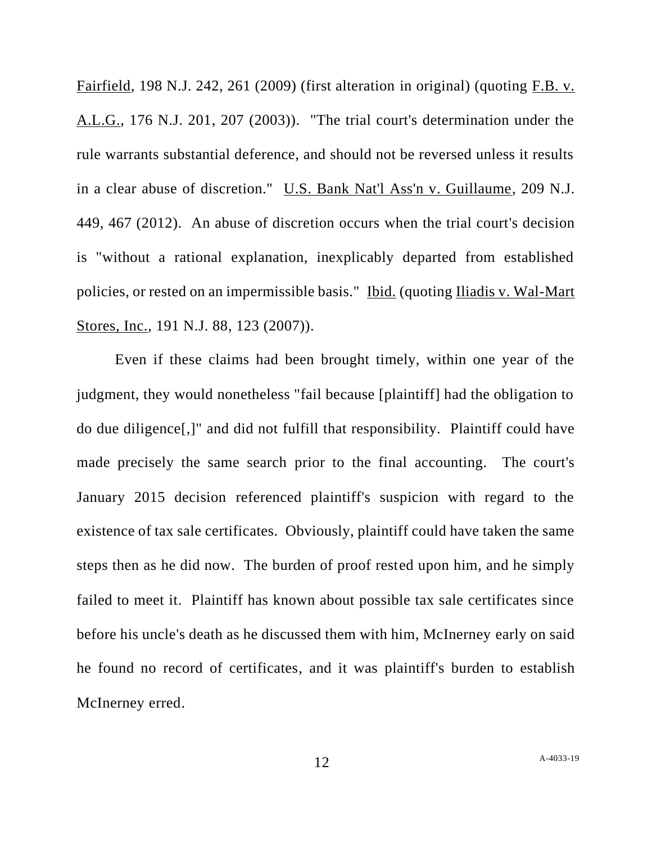Fairfield, 198 N.J. 242, 261 (2009) (first alteration in original) (quoting F.B. v. A.L.G., 176 N.J. 201, 207 (2003)). "The trial court's determination under the rule warrants substantial deference, and should not be reversed unless it results in a clear abuse of discretion." U.S. Bank Nat'l Ass'n v. Guillaume, 209 N.J. 449, 467 (2012). An abuse of discretion occurs when the trial court's decision is "without a rational explanation, inexplicably departed from established policies, or rested on an impermissible basis." Ibid. (quoting Iliadis v. Wal-Mart Stores, Inc., 191 N.J. 88, 123 (2007)).

Even if these claims had been brought timely, within one year of the judgment, they would nonetheless "fail because [plaintiff] had the obligation to do due diligence[,]" and did not fulfill that responsibility. Plaintiff could have made precisely the same search prior to the final accounting. The court's January 2015 decision referenced plaintiff's suspicion with regard to the existence of tax sale certificates. Obviously, plaintiff could have taken the same steps then as he did now. The burden of proof rested upon him, and he simply failed to meet it. Plaintiff has known about possible tax sale certificates since before his uncle's death as he discussed them with him, McInerney early on said he found no record of certificates, and it was plaintiff's burden to establish McInerney erred.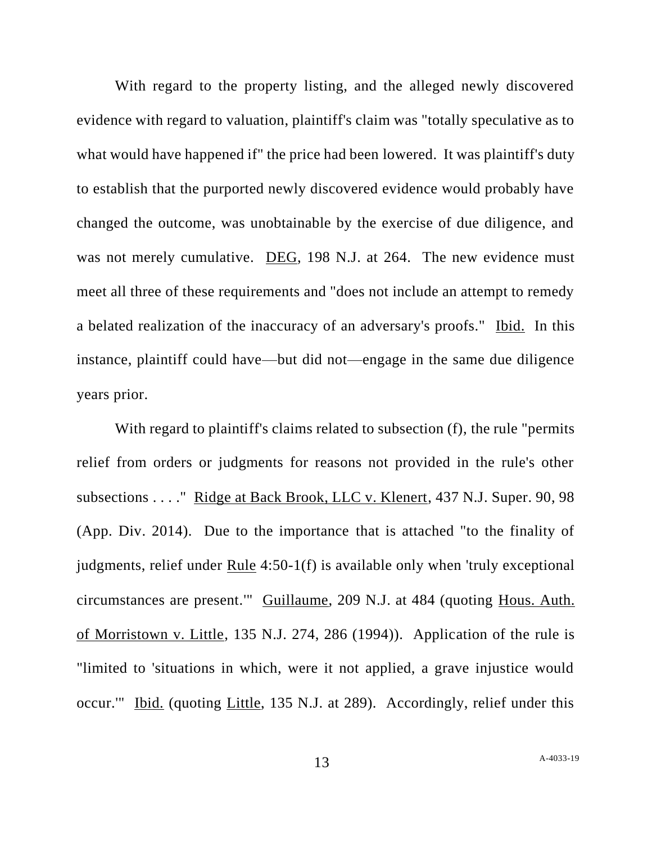With regard to the property listing, and the alleged newly discovered evidence with regard to valuation, plaintiff's claim was "totally speculative as to what would have happened if" the price had been lowered. It was plaintiff's duty to establish that the purported newly discovered evidence would probably have changed the outcome, was unobtainable by the exercise of due diligence, and was not merely cumulative. DEG, 198 N.J. at 264. The new evidence must meet all three of these requirements and "does not include an attempt to remedy a belated realization of the inaccuracy of an adversary's proofs." Ibid. In this instance, plaintiff could have—but did not—engage in the same due diligence years prior.

With regard to plaintiff's claims related to subsection (f), the rule "permits" relief from orders or judgments for reasons not provided in the rule's other subsections . . . ." Ridge at Back Brook, LLC v. Klenert, 437 N.J. Super. 90, 98 (App. Div. 2014). Due to the importance that is attached "to the finality of judgments, relief under Rule 4:50-1(f) is available only when 'truly exceptional circumstances are present.'" Guillaume, 209 N.J. at 484 (quoting Hous. Auth. of Morristown v. Little, 135 N.J. 274, 286 (1994)). Application of the rule is "limited to 'situations in which, were it not applied, a grave injustice would occur.'" Ibid. (quoting Little, 135 N.J. at 289). Accordingly, relief under this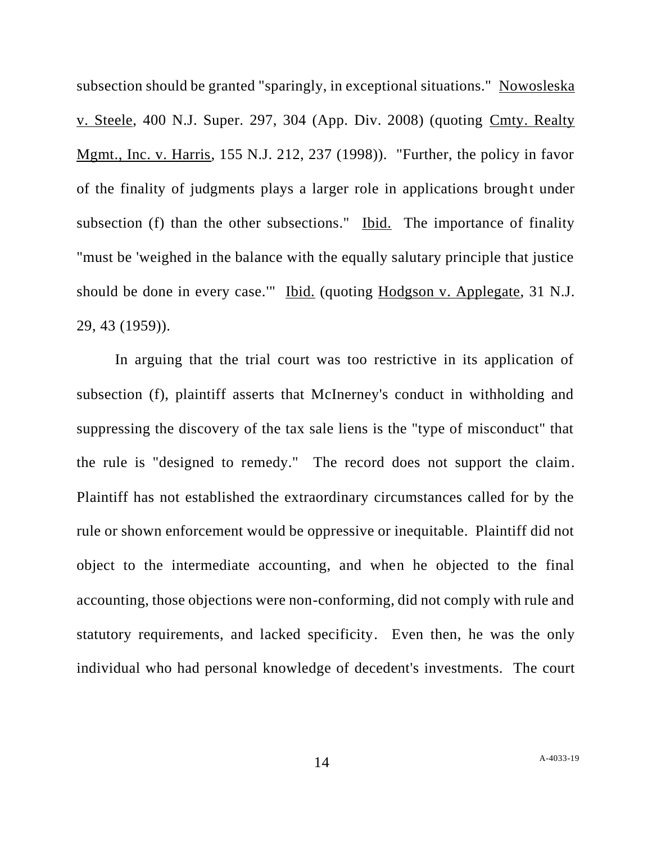subsection should be granted "sparingly, in exceptional situations." Nowosleska v. Steele, 400 N.J. Super. 297, 304 (App. Div. 2008) (quoting Cmty. Realty Mgmt., Inc. v. Harris, 155 N.J. 212, 237 (1998)). "Further, the policy in favor of the finality of judgments plays a larger role in applications brought under subsection (f) than the other subsections." Ibid. The importance of finality "must be 'weighed in the balance with the equally salutary principle that justice should be done in every case.'" Ibid. (quoting Hodgson v. Applegate, 31 N.J. 29, 43 (1959)).

In arguing that the trial court was too restrictive in its application of subsection (f), plaintiff asserts that McInerney's conduct in withholding and suppressing the discovery of the tax sale liens is the "type of misconduct" that the rule is "designed to remedy." The record does not support the claim. Plaintiff has not established the extraordinary circumstances called for by the rule or shown enforcement would be oppressive or inequitable. Plaintiff did not object to the intermediate accounting, and when he objected to the final accounting, those objections were non-conforming, did not comply with rule and statutory requirements, and lacked specificity. Even then, he was the only individual who had personal knowledge of decedent's investments. The court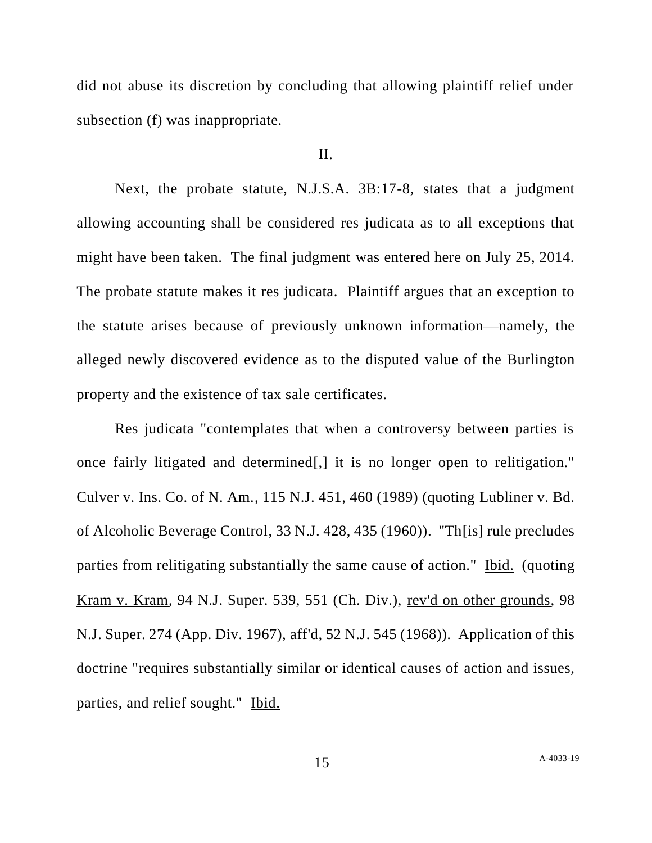did not abuse its discretion by concluding that allowing plaintiff relief under subsection (f) was inappropriate.

### II.

Next, the probate statute, N.J.S.A. 3B:17-8, states that a judgment allowing accounting shall be considered res judicata as to all exceptions that might have been taken. The final judgment was entered here on July 25, 2014. The probate statute makes it res judicata. Plaintiff argues that an exception to the statute arises because of previously unknown information—namely, the alleged newly discovered evidence as to the disputed value of the Burlington property and the existence of tax sale certificates.

Res judicata "contemplates that when a controversy between parties is once fairly litigated and determined[,] it is no longer open to relitigation." Culver v. Ins. Co. of N. Am., 115 N.J. 451, 460 (1989) (quoting Lubliner v. Bd. of Alcoholic Beverage Control, 33 N.J. 428, 435 (1960)). "Th[is] rule precludes parties from relitigating substantially the same cause of action." Ibid. (quoting Kram v. Kram, 94 N.J. Super. 539, 551 (Ch. Div.), rev'd on other grounds, 98 N.J. Super. 274 (App. Div. 1967), aff'd, 52 N.J. 545 (1968)). Application of this doctrine "requires substantially similar or identical causes of action and issues, parties, and relief sought." Ibid.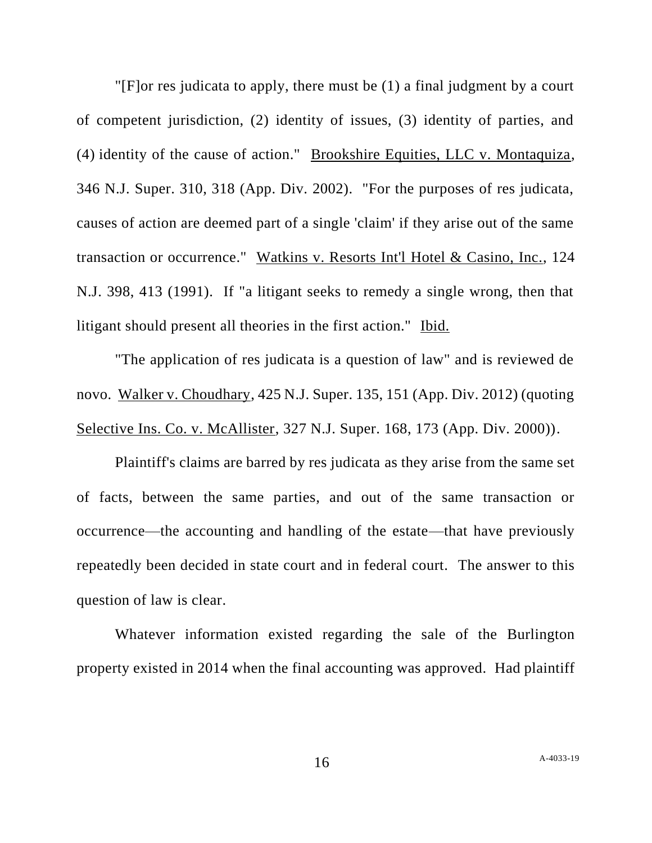"[F]or res judicata to apply, there must be (1) a final judgment by a court of competent jurisdiction, (2) identity of issues, (3) identity of parties, and (4) identity of the cause of action." Brookshire Equities, LLC v. Montaquiza, 346 N.J. Super. 310, 318 (App. Div. 2002). "For the purposes of res judicata, causes of action are deemed part of a single 'claim' if they arise out of the same transaction or occurrence." Watkins v. Resorts Int'l Hotel & Casino, Inc., 124 N.J. 398, 413 (1991). If "a litigant seeks to remedy a single wrong, then that litigant should present all theories in the first action." Ibid.

"The application of res judicata is a question of law" and is reviewed de novo. Walker v. Choudhary, 425 N.J. Super. 135, 151 (App. Div. 2012) (quoting Selective Ins. Co. v. McAllister, 327 N.J. Super. 168, 173 (App. Div. 2000)).

Plaintiff's claims are barred by res judicata as they arise from the same set of facts, between the same parties, and out of the same transaction or occurrence—the accounting and handling of the estate—that have previously repeatedly been decided in state court and in federal court. The answer to this question of law is clear.

Whatever information existed regarding the sale of the Burlington property existed in 2014 when the final accounting was approved. Had plaintiff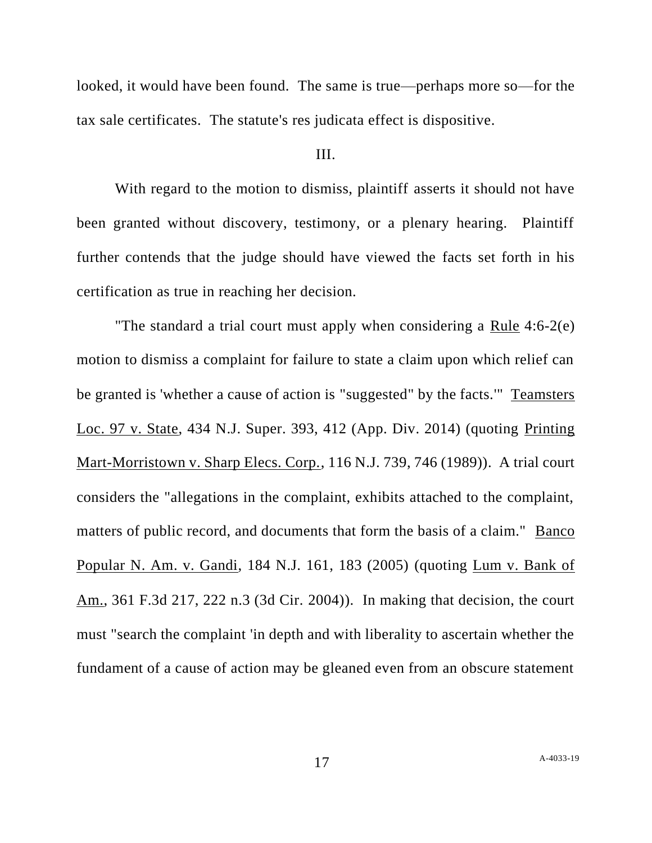looked, it would have been found. The same is true—perhaps more so—for the tax sale certificates. The statute's res judicata effect is dispositive.

### III.

With regard to the motion to dismiss, plaintiff asserts it should not have been granted without discovery, testimony, or a plenary hearing. Plaintiff further contends that the judge should have viewed the facts set forth in his certification as true in reaching her decision.

"The standard a trial court must apply when considering a Rule 4:6-2(e) motion to dismiss a complaint for failure to state a claim upon which relief can be granted is 'whether a cause of action is "suggested" by the facts.'" Teamsters Loc. 97 v. State, 434 N.J. Super. 393, 412 (App. Div. 2014) (quoting Printing Mart-Morristown v. Sharp Elecs. Corp., 116 N.J. 739, 746 (1989)). A trial court considers the "allegations in the complaint, exhibits attached to the complaint, matters of public record, and documents that form the basis of a claim." Banco Popular N. Am. v. Gandi, 184 N.J. 161, 183 (2005) (quoting Lum v. Bank of Am., 361 F.3d 217, 222 n.3 (3d Cir. 2004)). In making that decision, the court must "search the complaint 'in depth and with liberality to ascertain whether the fundament of a cause of action may be gleaned even from an obscure statement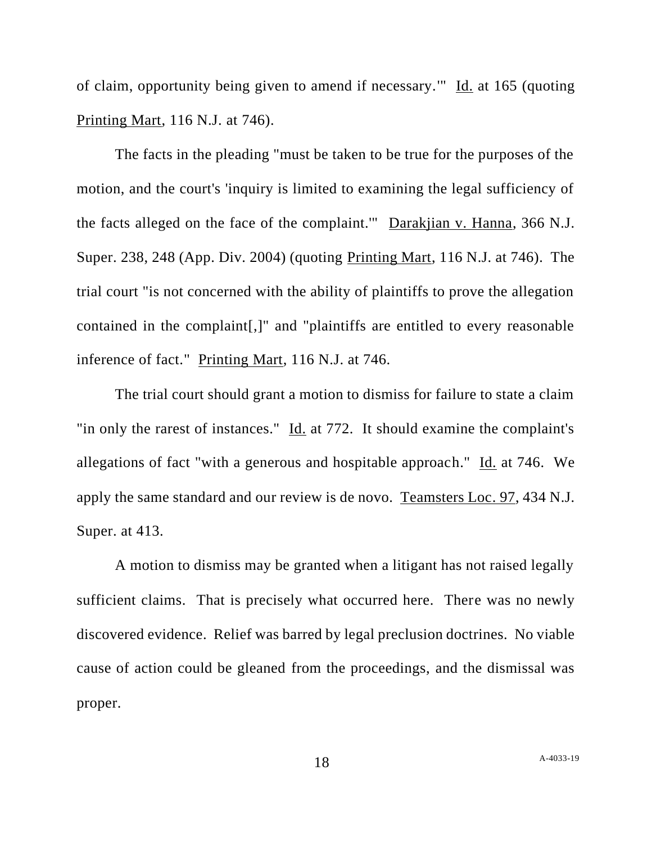of claim, opportunity being given to amend if necessary.'" Id. at 165 (quoting Printing Mart, 116 N.J. at 746).

The facts in the pleading "must be taken to be true for the purposes of the motion, and the court's 'inquiry is limited to examining the legal sufficiency of the facts alleged on the face of the complaint.'" Darakjian v. Hanna, 366 N.J. Super. 238, 248 (App. Div. 2004) (quoting Printing Mart, 116 N.J. at 746). The trial court "is not concerned with the ability of plaintiffs to prove the allegation contained in the complaint[,]" and "plaintiffs are entitled to every reasonable inference of fact." Printing Mart, 116 N.J. at 746.

The trial court should grant a motion to dismiss for failure to state a claim "in only the rarest of instances." Id. at 772. It should examine the complaint's allegations of fact "with a generous and hospitable approach." Id. at 746. We apply the same standard and our review is de novo. Teamsters Loc. 97, 434 N.J. Super. at 413.

A motion to dismiss may be granted when a litigant has not raised legally sufficient claims. That is precisely what occurred here. There was no newly discovered evidence. Relief was barred by legal preclusion doctrines. No viable cause of action could be gleaned from the proceedings, and the dismissal was proper.